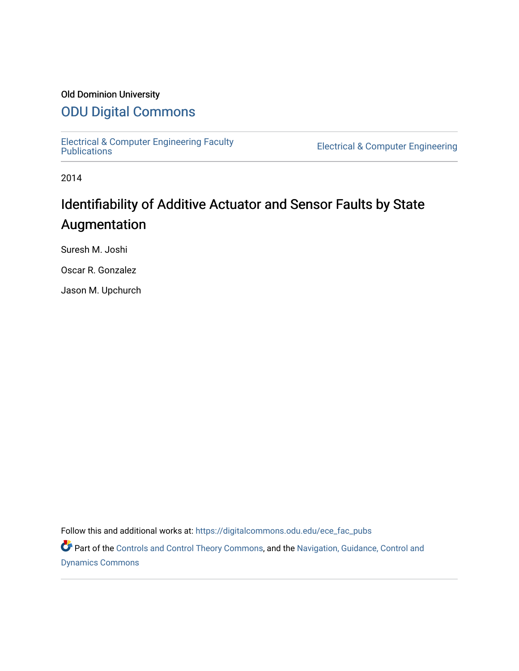### Old Dominion University

## [ODU Digital Commons](https://digitalcommons.odu.edu/)

[Electrical & Computer Engineering Faculty](https://digitalcommons.odu.edu/ece_fac_pubs) 

**Electrical & Computer Engineering** 

2014

## Identifiability of Additive Actuator and Sensor Faults by State Augmentation

Suresh M. Joshi

Oscar R. Gonzalez

Jason M. Upchurch

Follow this and additional works at: [https://digitalcommons.odu.edu/ece\\_fac\\_pubs](https://digitalcommons.odu.edu/ece_fac_pubs?utm_source=digitalcommons.odu.edu%2Fece_fac_pubs%2F229&utm_medium=PDF&utm_campaign=PDFCoverPages) 

Part of the [Controls and Control Theory Commons,](http://network.bepress.com/hgg/discipline/269?utm_source=digitalcommons.odu.edu%2Fece_fac_pubs%2F229&utm_medium=PDF&utm_campaign=PDFCoverPages) and the Navigation, Guidance, Control and [Dynamics Commons](http://network.bepress.com/hgg/discipline/226?utm_source=digitalcommons.odu.edu%2Fece_fac_pubs%2F229&utm_medium=PDF&utm_campaign=PDFCoverPages)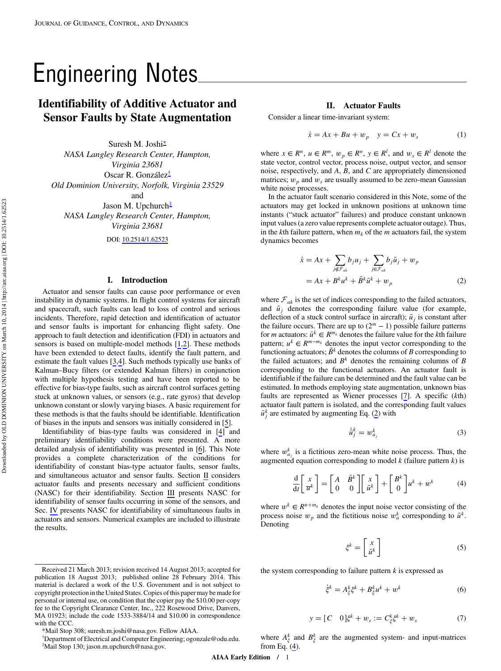# <span id="page-1-0"></span>Identifiability of Additive Actuator and Sensor Faults by State Augmentation

Suresh M. Joshi<sup>∗</sup> NASA Langley Research Center, Hampton, Virginia 23681 Oscar R. González† Old Dominion University, Norfolk, Virginia 23529

Jason M. Upchurch<sup>‡</sup> NASA Langley Research Center, Hampton, Virginia 23681

and

DOI: [10.2514/1.62523](http://dx.doi.org/10.2514/1.62523)

#### I. Introduction

Actuator and sensor faults can cause poor performance or even instability in dynamic systems. In flight control systems for aircraft and spacecraft, such faults can lead to loss of control and serious incidents. Therefore, rapid detection and identification of actuator and sensor faults is important for enhancing flight safety. One approach to fault detection and identification (FDI) in actuators and sensors is based on multiple-model methods [\[1](#page-5-0),[2](#page-6-0)]. These methods have been extended to detect faults, identify the fault pattern, and estimate the fault values [\[3,4\]](#page-6-0). Such methods typically use banks of Kalman–Bucy filters (or extended Kalman filters) in conjunction with multiple hypothesis testing and have been reported to be effective for bias-type faults, such as aircraft control surfaces getting stuck at unknown values, or sensors (e.g., rate gyros) that develop unknown constant or slowly varying biases. A basic requirement for these methods is that the faults should be identifiable. Identification of biases in the inputs and sensors was initially considered in [\[5\]](#page-6-0).

Identifiability of bias-type faults was considered in [\[4\]](#page-6-0) and preliminary identifiability conditions were presented. A more detailed analysis of identifiability was presented in [[6](#page-6-0)]. This Note provides a complete characterization of the conditions for identifiability of constant bias-type actuator faults, sensor faults, and simultaneous actuator and sensor faults. Section II considers actuator faults and presents necessary and sufficient conditions (NASC) for their identifiability. Section [III](#page-3-0) presents NASC for identifiability of sensor faults occurring in some of the sensors, and Sec. [IV](#page-5-0) presents NASC for identifiability of simultaneous faults in actuators and sensors. Numerical examples are included to illustrate the results.

#### II. Actuator Faults

Consider a linear time-invariant system:

$$
\dot{x} = Ax + Bu + w_p \quad y = Cx + w_s \tag{1}
$$

where  $x \in R^n$ ,  $u \in R^m$ ,  $w_p \in R^n$ ,  $y \in R^l$ , and  $w_s \in R^l$  denote the state vector, control vector, process noise, output vector, and sensor noise, respectively, and *A*, *B*, and *C* are appropriately dimensioned matrices;  $w_p$  and  $w_s$  are usually assumed to be zero-mean Gaussian white noise processes.

In the actuator fault scenario considered in this Note, some of the actuators may get locked in unknown positions at unknown time instants ("stuck actuator" failures) and produce constant unknown input values (a zero value represents complete actuator outage). Thus, in the *k*th failure pattern, when  $m_k$  of the *m* actuators fail, the system dynamics becomes

$$
\begin{aligned} \dot{x} &= Ax + \sum_{j \notin \mathcal{F}_{ak}} b_j u_j + \sum_{j \in \mathcal{F}_{ak}} b_j \bar{u}_j + w_p \\ &= Ax + B^k u^k + \bar{B}^k \bar{u}^k + w_p \end{aligned} \tag{2}
$$

where  $F_{ak}$  is the set of indices corresponding to the failed actuators, and  $\bar{u}_j$  denotes the corresponding failure value (for example, deflection of a stuck control surface in aircraft);  $\bar{u}$ <sup>*j*</sup> is constant after the failure occurs. There are up to  $(2<sup>m</sup> - 1)$  possible failure patterns for *m* actuators:  $\bar{u}^k \in R^{m_k}$  denotes the failure value for the *k*th failure pattern;  $u^k \in R^{m-m_k}$  denotes the input vector corresponding to the functioning actuators;  $\bar{B}^k$  denotes the columns of *B* corresponding to the failed actuators; and  $B<sup>k</sup>$  denotes the remaining columns of  $B$ corresponding to the functional actuators. An actuator fault is identifiable if the failure can be determined and the fault value can be estimated. In methods employing state augmentation, unknown bias faults are represented as Wiener processes [\[7\]](#page-6-0). A specific (*k*th) actuator fault pattern is isolated, and the corresponding fault values  $\bar{u}_j^k$  are estimated by augmenting Eq. (2) with

$$
\dot{\bar{u}}_j^k = w_{a_j}^k \tag{3}
$$

where  $w_{a_j}^k$  is a fictitious zero-mean white noise process. Thus, the augmented equation corresponding to model *k* (failure pattern *k*) is

$$
\frac{\mathrm{d}}{\mathrm{d}t} \begin{bmatrix} x \\ \overline{u}^k \end{bmatrix} = \begin{bmatrix} A & \overline{B}^k \\ 0 & 0 \end{bmatrix} \begin{bmatrix} x \\ \overline{u}^k \end{bmatrix} + \begin{bmatrix} B^k \\ 0 \end{bmatrix} u^k + w^k \tag{4}
$$

where  $w^k \in R^{n+m_k}$  denotes the input noise vector consisting of the process noise  $w_p$  and the fictitious noise  $w_a^k$  corresponding to  $\bar{u}^k$ . Denoting

$$
\xi^k = \begin{bmatrix} x \\ \bar{u}^k \end{bmatrix} \tag{5}
$$

the system corresponding to failure pattern *k* is expressed as

$$
\dot{\xi}^k = A^k_{\xi} \xi^k + B^k_{\xi} u^k + w^k \tag{6}
$$

$$
y = [C \t 0]\xi^{k} + w_{s} := C_{\xi}^{k}\xi^{k} + w_{s}
$$
 (7)

\*Mail Stop 308; suresh.m.joshi@nasa.gov. Fellow AIAA.

with the CCC.

† Department of Electrical and Computer Engineering; ogonzale@odu.edu. ‡ Mail Stop 130; jason.m.upchurch@nasa.gov.

Received 21 March 2013; revision received 14 August 2013; accepted for publication 18 August 2013; published online 28 February 2014. This material is declared a work of the U.S. Government and is not subject to copyright protection in the United States. Copies of this paper may be made for personal or internal use, on condition that the copier pay the \$10.00 per-copy fee to the Copyright Clearance Center, Inc., 222 Rosewood Drive, Danvers, MA 01923; include the code 1533-3884/14 and \$10.00 in correspondence

> where  $A_{\xi}^{k}$  and  $B_{\xi}^{k}$  are the augmented system- and input-matrices from Eq. (4).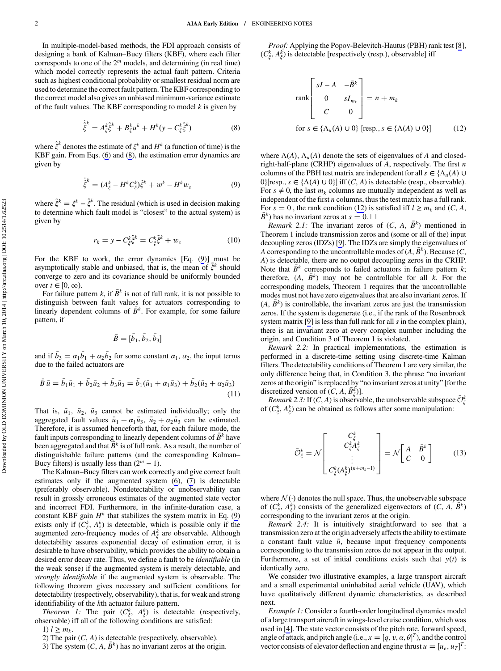In multiple-model-based methods, the FDI approach consists of designing a bank of Kalman–Bucy filters (KBF), where each filter corresponds to one of the 2*<sup>m</sup>* models, and determining (in real time) which model correctly represents the actual fault pattern. Criteria such as highest conditional probability or smallest residual norm are used to determine the correct fault pattern. The KBF corresponding to the correct model also gives an unbiased minimum-variance estimate of the fault values. The KBF corresponding to model *k* is given by

$$
\dot{\hat{\xi}}^k = A_{\xi}^k \hat{\xi}^k + B_{\xi}^k u^k + H^k (y - C_{\xi}^k \hat{\xi}^k)
$$
 (8)

where  $\hat{\xi}^k$  denotes the estimate of  $\xi^k$  and  $H^k$  (a function of time) is the KBF gain. From Eqs. (6) and (8), the estimation error dynamics are given by

$$
\dot{\tilde{\xi}}^k = (A_{\xi}^k - H^k C_{\xi}^k)\tilde{\xi}^k + w^k - H^k w_s \tag{9}
$$

where  $\tilde{\xi}^k = \xi^k - \hat{\xi}^k$ . The residual (which is used in decision making to determine which fault model is "closest" to the actual system) is given by

$$
r_k = y - C_{\xi}^k \tilde{\xi}^k = C_{\xi}^k \tilde{\xi}^k + w_s \tag{10}
$$

For the KBF to work, the error dynamics [Eq. (9)] must be asymptotically stable and unbiased, that is, the mean of  $\tilde{\xi}^k$  should converge to zero and its covariance should be uniformly bounded over  $t \in [0, \infty)$ .

For failure pattern  $k$ , if  $\bar{B}^k$  is not of full rank, it is not possible to distinguish between fault values for actuators corresponding to linearly dependent columns of  $\bar{B}^k$ . For example, for some failure pattern, if

$$
\bar{B} = [\bar{b}_1, \bar{b}_2, \bar{b}_3]
$$

and if  $\bar{b}_3 = \alpha_1 \bar{b}_1 + \alpha_2 \bar{b}_2$  for some constant  $\alpha_1$ ,  $\alpha_2$ , the input terms due to the failed actuators are

$$
\bar{B}\,\bar{u} = \bar{b}_1\bar{u}_1 + \bar{b}_2\bar{u}_2 + \bar{b}_3\bar{u}_3 = \bar{b}_1(\bar{u}_1 + \alpha_1\bar{u}_3) + \bar{b}_2(\bar{u}_2 + \alpha_2\bar{u}_3)
$$
\n(11)

That is,  $\bar{u}_1$ ,  $\bar{u}_2$ ,  $\bar{u}_3$  cannot be estimated individually; only the aggregated fault values  $\bar{u}_1 + \alpha_1 \bar{u}_3$ ,  $\bar{u}_2 + \alpha_2 \bar{u}_3$  can be estimated. Therefore, it is assumed henceforth that, for each failure mode, the fault inputs corresponding to linearly dependent columns of  $\overline{B}^k$  have been aggregated and that  $\overline{B}^k$  is of full rank. As a result, the number of distinguishable failure patterns (and the corresponding Kalman– Bucy filters) is usually less than  $(2<sup>m</sup> - 1)$ .

The Kalman–Bucy filters can work correctly and give correct fault estimates only if the augmented system (6), (7) is detectable (preferably observable). Nondetectability or unobservability can result in grossly erroneous estimates of the augmented state vector and incorrect FDI. Furthermore, in the infinite-duration case, a constant KBF gain  $H^k$  that stabilizes the system matrix in Eq. (9) exists only if  $(C_{\xi}^{k}, A_{\xi}^{k})$  is detectable, which is possible only if the augmented zero-frequency modes of  $A_{\xi}^{k}$  are observable. Although detectability assures exponential decay of estimation error, it is desirable to have observability, which provides the ability to obtain a desired error decay rate. Thus, we define a fault to be identifiable (in the weak sense) if the augmented system is merely detectable, and strongly identifiable if the augmented system is observable. The following theorem gives necessary and sufficient conditions for detectability (respectively, observability), that is, for weak and strong identifiability of the *k*th actuator failure pattern.

*Theorem 1:* The pair  $(C_{\xi}^{k}, A_{\xi}^{k})$  is detectable (respectively, observable) iff all of the following conditions are satisfied:

1)  $l \geq m_k$ .

2) The pair (*C*, *A*) is detectable (respectively, observable).

3) The system  $(C, A, \bar{B}^k)$  has no invariant zeros at the origin.

Proof: Applying the Popov-Belevitch-Hautus (PBH) rank test [[8](#page-6-0)],  $(C_{\xi}^{k}, A_{\xi}^{k})$  is detectable [respectively (resp.), observable] iff

$$
\operatorname{rank}\begin{bmatrix} sI - A & -\bar{B}^k \\ 0 & sI_{m_k} \\ C & 0 \end{bmatrix} = n + m_k
$$
  
for  $s \in \{\Lambda_u(A) \cup 0\}$  [resp.,  $s \in \{\Lambda(A) \cup 0\}$ ] (12)

where  $\Lambda(A)$ ,  $\Lambda_u(A)$  denote the sets of eigenvalues of A and closedright-half-plane (CRHP) eigenvalues of *A*, respectively. The first *n* columns of the PBH test matrix are independent for all  $s \in {\Lambda_u(A) \cup \Lambda_u(A)}$  $0$ }[resp.,  $s \in \{\Lambda(A) \cup 0\}$ ] iff  $(C, A)$  is detectable (resp., observable). For  $s \neq 0$ , the last  $m_k$  columns are mutually independent as well as independent of the first *n* columns, thus the test matrix has a full rank. For  $s = 0$ , the rank condition (12) is satisfied iff  $l \ge m_k$  and (*C*, *A*,  $B^k$ ) has no invariant zeros at  $s = 0$ . □

*Remark 2.1:* The invariant zeros of  $(C, A, \overline{B}^k)$  mentioned in Theorem 1 include transmission zeros and (some or all of the) input decoupling zeros (IDZs) [\[9\]](#page-6-0). The IDZs are simply the eigenvalues of *A* corresponding to the uncontrollable modes of  $(A, B^k)$ . Because  $(C,$ *A*) is detectable, there are no output decoupling zeros in the CRHP. Note that  $B^k$  corresponds to failed actuators in failure pattern  $k$ ; therefore,  $(A, \bar{B}^k)$  may not be controllable for all *k*. For the corresponding models, Theorem 1 requires that the uncontrollable modes must not have zero eigenvalues that are also invariant zeros. If  $(A, \overline{B}^k)$  is controllable, the invariant zeros are just the transmission zeros. If the system is degenerate (i.e., if the rank of the Rosenbrock system matrix [[9](#page-6-0)] is less than full rank for all *s* in the complex plain), there is an invariant zero at every complex number including the origin, and Condition 3 of Theorem 1 is violated.

Remark 2.2: In practical implementations, the estimation is performed in a discrete-time setting using discrete-time Kalman filters. The detectability conditions of Theorem 1 are very similar, the only difference being that, in Condition 3, the phrase "no invariant zeros at the origin" is replaced by "no invariant zeros at unity" [for the discretized version of  $(C, A, \overline{B}_{\xi}^{k})$ ].

Remark 2.3: If  $(C, A)$  is observable, the unobservable subspace  $\bar{\mathcal{O}}_{\xi}^{k}$ of  $(C_{\xi}^{k}, A_{\xi}^{k})$  can be obtained as follows after some manipulation:

$$
\bar{O}_{\xi}^{k} = \mathcal{N} \begin{bmatrix} C_{\xi}^{k} \\ C_{\xi}^{k} A_{\xi}^{k} \\ \vdots \\ C_{\xi}^{k} (A_{\xi}^{k})^{(n+m_{k}-1)} \end{bmatrix} = \mathcal{N} \begin{bmatrix} A & \bar{B}^{k} \\ C & 0 \end{bmatrix}
$$
(13)

where  $\mathcal{N}(\cdot)$  denotes the null space. Thus, the unobservable subspace of  $(C_{\xi}^{k}, A_{\xi}^{k})$  consists of the generalized eigenvectors of  $(C, A, \overline{B}^{k})$ corresponding to the invariant zeros at the origin.

Remark 2.4: It is intuitively straightforward to see that a transmission zero at the origin adversely affects the ability to estimate a constant fault value  $\bar{u}$ , because input frequency components corresponding to the transmission zeros do not appear in the output. Furthermore, a set of initial conditions exists such that  $y(t)$  is identically zero.

We consider two illustrative examples, a large transport aircraft and a small experimental uninhabited aerial vehicle (UAV), which have qualitatively different dynamic characteristics, as described next.

Example 1: Consider a fourth-order longitudinal dynamics model of a large transport aircraft in wings-level cruise condition, which was used in [\[4\]](#page-6-0). The state vector consists of the pitch rate, forward speed, angle of attack, and pitch angle (i.e.,  $x = [q, v, \alpha, \theta]^T$ ), and the control vector consists of elevator deflection and engine thrust  $u = [u_e, u_T]^T$ :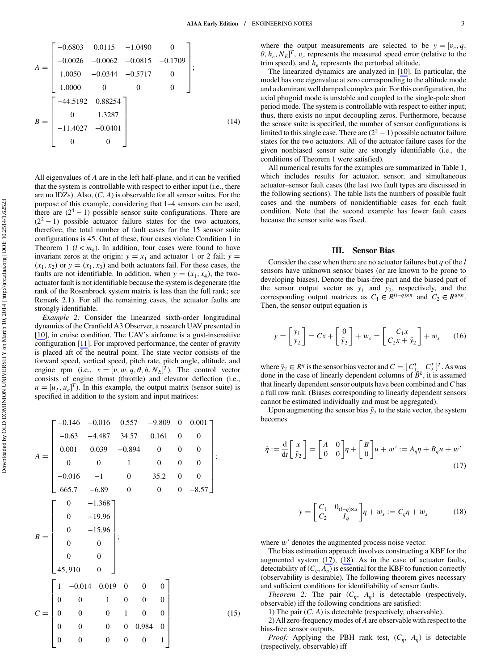<span id="page-3-0"></span>
$$
A = \begin{bmatrix} -0.6803 & 0.0115 & -1.0490 & 0 \\ -0.0026 & -0.0062 & -0.0815 & -0.1709 \\ 1.0050 & -0.0344 & -0.5717 & 0 \\ 1.0000 & 0 & 0 & 0 \end{bmatrix};
$$
  

$$
B = \begin{bmatrix} -44.5192 & 0.88254 \\ 0 & 1.3287 \\ -11.4027 & -0.0401 \\ 0 & 0 \end{bmatrix};
$$
(14)

All eigenvalues of *A* are in the left half-plane, and it can be verified that the system is controllable with respect to either input (i.e., there are no IDZs). Also, (*C*, *A*) is observable for all sensor suites. For the purpose of this example, considering that 1–4 sensors can be used, there are  $(2^4 - 1)$  possible sensor suite configurations. There are  $(2<sup>2</sup> - 1)$  possible actuator failure states for the two actuators, therefore, the total number of fault cases for the 15 sensor suite configurations is 45. Out of these, four cases violate Condition 1 in Theorem 1 ( $l < m_k$ ). In addition, four cases were found to have invariant zeros at the origin:  $y = x_1$  and actuator 1 or 2 fail;  $y =$  $(x_1, x_2)$  or  $y = (x_1, x_3)$  and both actuators fail. For these cases, the faults are not identifiable. In addition, when  $y = (x_1, x_4)$ , the twoactuator fault is not identifiable because the system is degenerate (the rank of the Rosenbrock system matrix is less than the full rank; see Remark 2.1). For all the remaining cases, the actuator faults are strongly identifiable.

Example 2: Consider the linearized sixth-order longitudinal dynamics of the Cranfield A3 Observer, a research UAV presented in [\[10](#page-6-0)], in cruise condition. The UAV's airframe is a gust-insensitive configuration [\[11](#page-6-0)]. For improved performance, the center of gravity is placed aft of the neutral point. The state vector consists of the forward speed, vertical speed, pitch rate, pitch angle, altitude, and engine rpm (i.e.,  $x = [v, w, q, \theta, h, N_E]^T$ ). The control vector consists of engine thrust (throttle) and elevator deflection (i.e.,  $u = [u_T, u_e]^T$ ). In this example, the output matrix (sensor suite) is specified in addition to the system and input matrices:

$$
A = \begin{bmatrix}\n-0.146 & -0.016 & 0.557 & -9.809 & 0 & 0.001 \\
-0.63 & -4.487 & 34.57 & 0.161 & 0 & 0 \\
0.001 & 0.039 & -0.894 & 0 & 0 & 0 \\
0 & 0 & 1 & 0 & 0 & 0 \\
-0.016 & -1 & 0 & 35.2 & 0 & 0 \\
665.7 & -6.89 & 0 & 0 & 0 & -8.57\n\end{bmatrix};
$$
\n
$$
B = \begin{bmatrix}\n0 & -1.368 \\
0 & -15.96 \\
0 & 0 \\
45,910 & 0\n\end{bmatrix};
$$
\n
$$
C = \begin{bmatrix}\n1 & -0.014 & 0.019 & 0 & 0 & 0 \\
0 & 0 & 1 & 0 & 0 & 0 \\
0 & 0 & 0 & 1 & 0 & 0 \\
0 & 0 & 0 & 0 & 0.984 & 0 \\
0 & 0 & 0 & 0 & 0 & 1\n\end{bmatrix}
$$
\n(15)

where the output measurements are selected to be  $y = [v_e, q, v_e]$  $\theta$ ,  $h_e$ ,  $N_E$ <sup>T</sup>,  $v_e$  represents the measured speed error (relative to the trim speed), and *he* represents the perturbed altitude.

The linearized dynamics are analyzed in [\[10\]](#page-6-0). In particular, the model has one eigenvalue at zero corresponding to the altitude mode and a dominant well damped complex pair. For this configuration, the axial phugoid mode is unstable and coupled to the single-pole short period mode. The system is controllable with respect to either input; thus, there exists no input decoupling zeros. Furthermore, because the sensor suite is specified, the number of sensor configurations is limited to this single case. There are  $(2<sup>2</sup> - 1)$  possible actuator failure states for the two actuators. All of the actuator failure cases for the given nonbiased sensor suite are strongly identifiable (i.e., the conditions of Theorem 1 were satisfied).

All numerical results for the examples are summarized in Table 1, which includes results for actuator, sensor, and simultaneous actuator–sensor fault cases (the last two fault types are discussed in the following sections). The table lists the numbers of possible fault cases and the numbers of nonidentifiable cases for each fault condition. Note that the second example has fewer fault cases because the sensor suite was fixed.

### III. Sensor Bias

Consider the case when there are no actuator failures but *q* of the *l* sensors have unknown sensor biases (or are known to be prone to developing biases). Denote the bias-free part and the biased part of the sensor output vector as  $y_1$  and  $y_2$ , respectively, and the corresponding output matrices as  $C_1 \in R^{(l-q)\times n}$  and  $C_2 \in R^{q\times n}$ . Then, the sensor output equation is

$$
y = \begin{bmatrix} y_1 \\ y_2 \end{bmatrix} = Cx + \begin{bmatrix} 0 \\ \bar{y}_2 \end{bmatrix} + w_s = \begin{bmatrix} C_1 x \\ C_2 x + \bar{y}_2 \end{bmatrix} + w_s \qquad (16)
$$

where  $\bar{y}_2 \in R^q$  is the sensor bias vector and  $C = [C_{1}^T, C_2^T]^T$ . As was done in the case of linearly dependent columns of  $\overline{B}^k$ , it is assumed that linearly dependent sensor outputs have been combined and*C*has a full row rank. (Biases corresponding to linearly dependent sensors cannot be estimated individually and must be aggregated).

Upon augmenting the sensor bias  $\bar{y}_2$  to the state vector, the system becomes

$$
\dot{\eta} := \frac{\mathrm{d}}{\mathrm{d}t} \begin{bmatrix} x \\ \bar{y}_2 \end{bmatrix} = \begin{bmatrix} A & 0 \\ 0 & 0 \end{bmatrix} \eta + \begin{bmatrix} B \\ 0 \end{bmatrix} u + w' := A_{\eta} \eta + B_{\eta} u + w' \tag{17}
$$

$$
y = \begin{bmatrix} C_1 & 0_{(l-q) \times q} \\ C_2 & I_q \end{bmatrix} \eta + w_s := C_{\eta} \eta + w_s \tag{18}
$$

where  $w'$  denotes the augmented process noise vector.

The bias estimation approach involves constructing a KBF for the augmented system (17), (18). As in the case of actuator faults, detectability of  $(C_n, A_n)$  is essential for the KBF to function correctly (observability is desirable). The following theorem gives necessary and sufficient conditions for identifiability of sensor faults.

*Theorem 2:* The pair  $(C_n, A_n)$  is detectable (respectively, observable) iff the following conditions are satisfied:

1) The pair (*C*, *A*) is detectable (respectively, observable).

2) All zero-frequency modes of*A*are observable with respect to the bias-free sensor outputs.

*Proof:* Applying the PBH rank test,  $(C_n, A_n)$  is detectable (respectively, observable) iff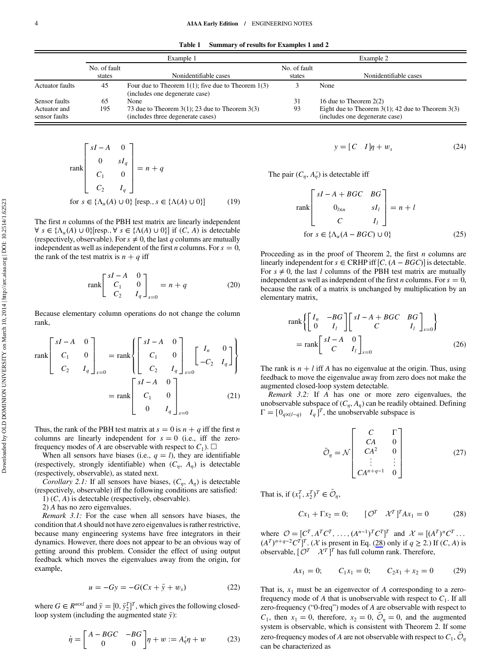Table 1 Summary of results for Examples 1 and 2

|                               | Example 1    |                                                                                           | Example 2    |                                                                                          |
|-------------------------------|--------------|-------------------------------------------------------------------------------------------|--------------|------------------------------------------------------------------------------------------|
|                               | No. of fault |                                                                                           | No. of fault |                                                                                          |
|                               | states       | Nonidentifiable cases                                                                     | states       | Nonidentifiable cases                                                                    |
| <b>Actuator faults</b>        | 45           | Four due to Theorem $1(1)$ ; five due to Theorem $1(3)$<br>(includes one degenerate case) |              | None                                                                                     |
| Sensor faults                 | 65           | None                                                                                      | 31           | 16 due to Theorem $2(2)$                                                                 |
| Actuator and<br>sensor faults | 195          | 73 due to Theorem $3(1)$ ; 23 due to Theorem $3(3)$<br>(includes three degenerate cases)  | 93           | Eight due to Theorem $3(1)$ ; 42 due to Theorem $3(3)$<br>(includes one degenerate case) |

$$
\text{rank}\begin{bmatrix} sI - A & 0 \\ 0 & sI_q \\ C_1 & 0 \\ C_2 & I_q \end{bmatrix} = n + q
$$
\n
$$
\text{for } s \in \{\Lambda_u(A) \cup 0\} \text{ [resp., } s \in \{\Lambda(A) \cup 0\}] \tag{19}
$$

The first *n* columns of the PBH test matrix are linearly independent  $\forall s \in {\Lambda_u(A) \cup 0}$ [resp.,  $\forall s \in {\Lambda(A) \cup 0}$ ] if  $(C, A)$  is detectable (respectively, observable). For  $s \neq 0$ , the last *q* columns are mutually independent as well as independent of the first *n* columns. For  $s = 0$ , the rank of the test matrix is  $n + q$  iff

$$
\text{rank}\begin{bmatrix} sI - A & 0 \\ C_1 & 0 \\ C_2 & I_q \end{bmatrix}_{s=0} = n + q \tag{20}
$$

Because elementary column operations do not change the column rank,

$$
\text{rank}\begin{bmatrix} sI - A & 0 \\ C_1 & 0 \\ C_2 & I_q \end{bmatrix}_{s=0} = \text{rank}\begin{Bmatrix} sI - A & 0 \\ C_1 & 0 \\ C_2 & I_q \end{Bmatrix}_{s=0} \begin{bmatrix} I_n & 0 \\ -C_2 & I_q \end{bmatrix}
$$
\n
$$
= \text{rank}\begin{bmatrix} sI - A & 0 \\ C_1 & 0 \\ 0 & I_q \end{bmatrix}_{s=0} \tag{21}
$$

Thus, the rank of the PBH test matrix at  $s = 0$  is  $n + q$  iff the first *n* columns are linearly independent for  $s = 0$  (i.e., iff the zerofrequency modes of *A* are observable with respect to  $C_1$ ).  $\square$ 

When all sensors have biases (i.e.,  $q = l$ ), they are identifiable (respectively, strongly identifiable) when  $(C_n, A_n)$  is detectable (respectively, observable), as stated next.

Corollary 2.1: If all sensors have biases,  $(C_n, A_n)$  is detectable (respectively, observable) iff the following conditions are satisfied:

1) (*C*, *A*) is detectable (respectively, observable).

2) *A* has no zero eigenvalues.

Remark 3.1: For the case when all sensors have biases, the condition that *A* should not have zero eigenvalues is rather restrictive, because many engineering systems have free integrators in their dynamics. However, there does not appear to be an obvious way of getting around this problem. Consider the effect of using output feedback which moves the eigenvalues away from the origin, for example,

$$
u = -Gy = -G(Cx + \bar{y} + w_s)
$$
 (22)

where  $G \in R^{m \times l}$  and  $\bar{y} = [0, \bar{y}_2^T]^T$ , which gives the following closedloop system (including the augmented state *y*):

$$
\dot{\eta} = \begin{bmatrix} A - BGC & -BG \\ 0 & 0 \end{bmatrix} \eta + w := A_{\eta}' \eta + w \tag{23}
$$

$$
y = [C \quad I]\eta + w_s \tag{24}
$$

The pair  $(C_{\eta}, A_{\eta}')$  is detectable iff

$$
\operatorname{rank}\begin{bmatrix} sI - A + BGC & BG \\ 0_{l \times n} & sI_l \\ C & I_l \end{bmatrix} = n + l
$$
  
for  $s \in \{\Lambda_u(A - BGC) \cup 0\}$  (25)

Proceeding as in the proof of Theorem 2, the first *n* columns are linearly independent for *s* ∈ CRHP iff  $[C, (A - BGC)]$  is detectable. For  $s \neq 0$ , the last *l* columns of the PBH test matrix are mutually independent as well as independent of the first *n* columns. For  $s = 0$ , because the rank of a matrix is unchanged by multiplication by an elementary matrix,

$$
\operatorname{rank}\left\{ \begin{bmatrix} I_n & -BG \\ 0 & I_l \end{bmatrix} \begin{bmatrix} sI - A + BGC & BG \\ C & I_l \end{bmatrix}_{s=0} \right\}
$$
  
= 
$$
\operatorname{rank}\begin{bmatrix} sI - A & 0 \\ C & I_l \end{bmatrix}_{s=0}
$$
 (26)

The rank is  $n + l$  iff *A* has no eigenvalue at the origin. Thus, using feedback to move the eigenvalue away from zero does not make the augmented closed-loop system detectable.

Remark 3.2: If *A* has one or more zero eigenvalues, the unobservable subspace of  $(C_n, A_n)$  can be readily obtained. Defining  $\Gamma = [0_{q \times (l-q)} \quad I_q]^T$ , the unobservable subspace is

$$
\bar{O}_{\eta} = \mathcal{N} \begin{bmatrix} C & \Gamma \\ CA & 0 \\ CA^2 & 0 \\ \vdots & \vdots \\ CA^{n+q-1} & 0 \end{bmatrix} \tag{27}
$$

That is, if  $(x_1^T, x_2^T)^T \in \overline{\mathcal{O}}_{\eta}$ ,

$$
Cx_1 + \Gamma x_2 = 0; \qquad [\mathcal{O}^T \quad \mathcal{X}^T]^T A x_1 = 0 \tag{28}
$$

where  $\mathcal{O} = [C^T, A^T C^T, \dots, (A^{n-1})^T C^T]^T$  and  $\mathcal{X} = [(A^T)^n C^T \dots]$ *AT*<sup>*n*+*q*−2</sup>*C<sup>T</sup>*]<sup>*T*</sup>. (*X* is present in Eq. (28) only if *q* ≥ 2.) If (*C*, *A*) is observable,  $\begin{bmatrix} \mathcal{O}^T & \mathcal{X}^T \end{bmatrix}^T$  has full column rank. Therefore,

$$
Ax_1 = 0;
$$
  $C_1x_1 = 0;$   $C_2x_1 + x_2 = 0$  (29)

That is,  $x_1$  must be an eigenvector of  $A$  corresponding to a zerofrequency mode of *A* that is unobservable with respect to  $C_1$ . If all zero-frequency ("0-freq") modes of *A* are observable with respect to  $C_1$ , then  $x_1 = 0$ , therefore,  $x_2 = 0$ ,  $\overline{O}_\eta = 0$ , and the augmented system is observable, which is consistent with Theorem 2. If some zero-frequency modes of *A* are not observable with respect to  $C_1$ ,  $\mathcal{O}_n$ can be characterized as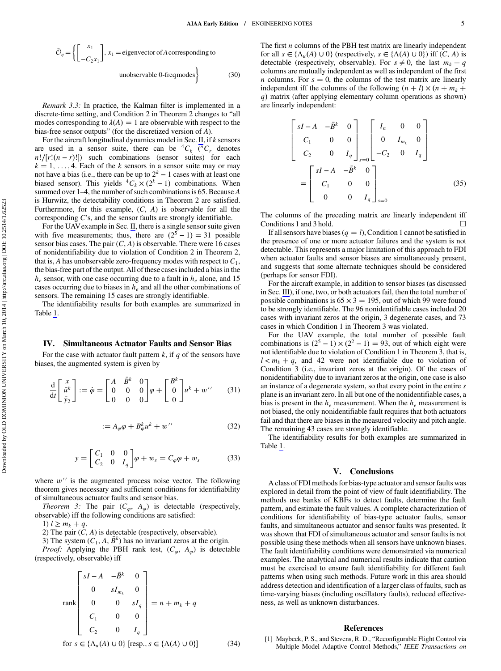<span id="page-5-0"></span>
$$
\bar{\mathcal{O}}_{\eta} = \left\{ \begin{bmatrix} x_1 \\ -C_2 x_1 \end{bmatrix}, x_1 = \text{eigenvector of A corresponding to} \right\}
$$
unobservable 0-frequency (30)

Remark 3.3: In practice, the Kalman filter is implemented in a discrete-time setting, and Condition 2 in Theorem 2 changes to "all modes corresponding to  $\lambda(A) = 1$  are observable with respect to the bias-free sensor outputs" (for the discretized version of *A*).

For the aircraft longitudinal dynamics model in Sec. [II,](#page-1-0) if *k* sensors are used in a sensor suite, there can be  ${}^4C_k$  ( ${}^nC_r$  denotes  $n!/[r!(n-r)!]$  such combinations (sensor suites) for each  $k = 1, \ldots, 4$ . Each of the *k* sensors in a sensor suite may or may not have a bias (i.e., there can be up to  $2^k - 1$  cases with at least one biased sensor). This yields  ${}^4C_k \times (2^k - 1)$  combinations. When summed over 1–4, the number of such combinations is 65. Because *A* is Hurwitz, the detectability conditions in Theorem 2 are satisfied. Furthermore, for this example, (*C*, *A*) is observable for all the corresponding *C*'s, and the sensor faults are strongly identifiable.

For the UAVexample in Sec. [II](#page-1-0), there is a single sensor suite given with five measurements; thus, there are  $(2^5 - 1) = 31$  possible sensor bias cases. The pair  $(C, A)$  is observable. There were 16 cases of nonidentifiability due to violation of Condition 2 in Theorem 2, that is, *A* has unobservable zero-frequency modes with respect to  $C_1$ , the bias-free part of the output. All of these cases included a bias in the  $h_e$  sensor, with one case occurring due to a fault in  $h_e$  alone, and 15 cases occurring due to biases in *he* and all the other combinations of sensors. The remaining 15 cases are strongly identifiable.

The identifiability results for both examples are summarized in Table 1.

#### IV. Simultaneous Actuator Faults and Sensor Bias

For the case with actuator fault pattern *k*, if *q* of the sensors have biases, the augmented system is given by

$$
\frac{\mathrm{d}}{\mathrm{d}t} \begin{bmatrix} x \\ \bar{u}^k \\ \bar{y}_2 \end{bmatrix} := \dot{\varphi} = \begin{bmatrix} A & \bar{B}^k & 0 \\ 0 & 0 & 0 \\ 0 & 0 & 0 \end{bmatrix} \varphi + \begin{bmatrix} B^k \\ 0 \\ 0 \end{bmatrix} u^k + w^{\prime\prime} \qquad (31)
$$

$$
:= A_{\varphi}\varphi + B_{\varphi}^k u^k + w^{\prime\prime} \tag{32}
$$

$$
y = \begin{bmatrix} C_1 & 0 & 0 \\ C_2 & 0 & I_q \end{bmatrix} \varphi + w_s = C_{\varphi} \varphi + w_s \tag{33}
$$

where  $w^{\prime\prime}$  is the augmented process noise vector. The following theorem gives necessary and sufficient conditions for identifiability of simultaneous actuator faults and sensor bias.

*Theorem 3:* The pair  $(C_{\varphi}, A_{\varphi})$  is detectable (respectively, observable) iff the following conditions are satisfied:

1)  $l \ge m_k + q$ .

2) The pair  $(C, A)$  is detectable (respectively, observable).

3) The system  $(C_1, A, \overline{B}^k)$  has no invariant zeros at the origin.

*Proof:* Applying the PBH rank test,  $(C_{\varphi}, A_{\varphi})$  is detectable (respectively, observable) iff

$$
\text{rank}\begin{bmatrix} sI - A & -\bar{B}^k & 0 \\ 0 & sI_{m_k} & 0 \\ 0 & 0 & sI_q \\ C_1 & 0 & 0 \\ C_2 & 0 & I_q \end{bmatrix} = n + m_k + q
$$

for  $s \in {\Lambda_u(A) \cup 0}$  [resp.,  $s \in {\Lambda(A) \cup 0}$ ] (34)

The first *n* columns of the PBH test matrix are linearly independent for all  $s \in {\Lambda_u(A) \cup 0}$  (respectively,  $s \in {\Lambda(A) \cup 0}$ ) iff  $(C, A)$  is detectable (respectively, observable). For  $s \neq 0$ , the last  $m_k + q$ columns are mutually independent as well as independent of the first *n* columns. For  $s = 0$ , the columns of the test matrix are linearly independent iff the columns of the following  $(n + l) \times (n + m_k + l)$ *q* matrix (after applying elementary column operations as shown) are linearly independent:

$$
\begin{bmatrix}\nsI - A & -\bar{B}^k & 0 \\
C_1 & 0 & 0 \\
C_2 & 0 & I_q\n\end{bmatrix}_{s=0}\n\begin{bmatrix}\nI_n & 0 & 0 \\
0 & I_{m_k} & 0 \\
-C_2 & 0 & I_q\n\end{bmatrix}
$$
\n
$$
=\n\begin{bmatrix}\nsI - A & -\bar{B}^k & 0 \\
C_1 & 0 & 0 \\
0 & 0 & I_q\n\end{bmatrix}_{s=0}
$$
\n(35)

The columns of the preceding matrix are linearly independent iff Conditions 1 and 3 hold.

If all sensors have biases  $(q = l)$ , Condition 1 cannot be satisfied in the presence of one or more actuator failures and the system is not detectable. This represents a major limitation of this approach to FDI when actuator faults and sensor biases are simultaneously present, and suggests that some alternate techniques should be considered (perhaps for sensor FDI).

For the aircraft example, in addition to sensor biases (as discussed in Sec. [III](#page-3-0)), if one, two, or both actuators fail, then the total number of possible combinations is  $65 \times 3 = 195$ , out of which 99 were found to be strongly identifiable. The 96 nonidentifiable cases included 20 cases with invariant zeros at the origin, 3 degenerate cases, and 73 cases in which Condition 1 in Theorem 3 was violated.

For the UAV example, the total number of possible fault combinations is  $(2^5 – 1) \times (2^2 – 1) = 93$ , out of which eight were not identifiable due to violation of Condition 1 in Theorem 3, that is,  $l < m_k + q$ , and 42 were not identifiable due to violation of Condition 3 (i.e., invariant zeros at the origin). Of the cases of nonidentifiability due to invariant zeros at the origin, one case is also an instance of a degenerate system, so that every point in the entire *s* plane is an invariant zero. In all but one of the nonidentifiable cases, a bias is present in the *he* measurement. When the *he* measurement is not biased, the only nonidentifiable fault requires that both actuators fail and that there are biases in the measured velocity and pitch angle. The remaining 43 cases are strongly identifiable.

The identifiability results for both examples are summarized in Table 1.

#### V. Conclusions

A class of FDI methods for bias-type actuator and sensor faults was explored in detail from the point of view of fault identifiability. The methods use banks of KBFs to detect faults, determine the fault pattern, and estimate the fault values. A complete characterization of conditions for identifiability of bias-type actuator faults, sensor faults, and simultaneous actuator and sensor faults was presented. It was shown that FDI of simultaneous actuator and sensor faults is not possible using these methods when all sensors have unknown biases. The fault identifiability conditions were demonstrated via numerical examples. The analytical and numerical results indicate that caution must be exercised to ensure fault identifiability for different fault patterns when using such methods. Future work in this area should address detection and identification of a larger class of faults, such as time-varying biases (including oscillatory faults), reduced effectiveness, as well as unknown disturbances.

#### References

[1] Maybeck, P. S., and Stevens, R. D., "Reconfigurable Flight Control via Multiple Model Adaptive Control Methods," IEEE Transactions on